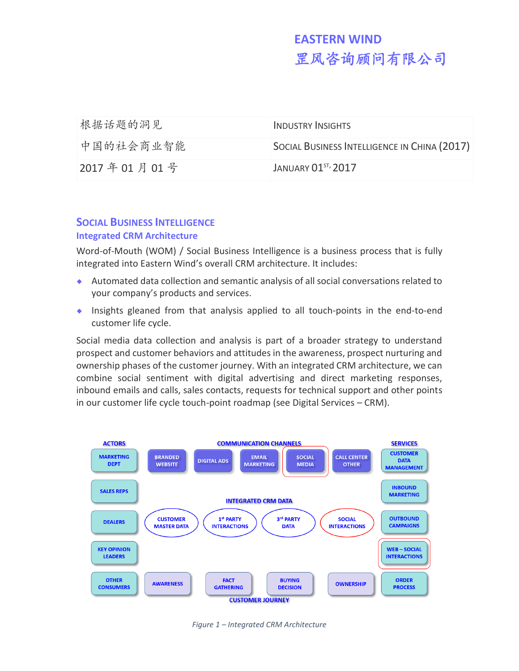| 根据话题的洞见     | <b>INDUSTRY INSIGHTS</b>                     |
|-------------|----------------------------------------------|
| 中国的社会商业智能   | SOCIAL BUSINESS INTELLIGENCE IN CHINA (2017) |
| 2017年01月01号 | JANUARY 01 <sup>ST</sup> , 2017              |

# **SOCIAL BUSINESS INTELLIGENCE**

### **Integrated CRM Architecture**

Word-of-Mouth (WOM) / Social Business Intelligence is a business process that is fully integrated into Eastern Wind's overall CRM architecture. It includes:

- Automated data collection and semantic analysis of all social conversations related to your company's products and services.
- Insights gleaned from that analysis applied to all touch-points in the end-to-end customer life cycle.

Social media data collection and analysis is part of a broader strategy to understand prospect and customer behaviors and attitudes in the awareness, prospect nurturing and ownership phases of the customer journey. With an integrated CRM architecture, we can combine social sentiment with digital advertising and direct marketing responses, inbound emails and calls, sales contacts, requests for technical support and other points in our customer life cycle touch-point roadmap (see Digital Services – CRM).



*Figure 1 – Integrated CRM Architecture*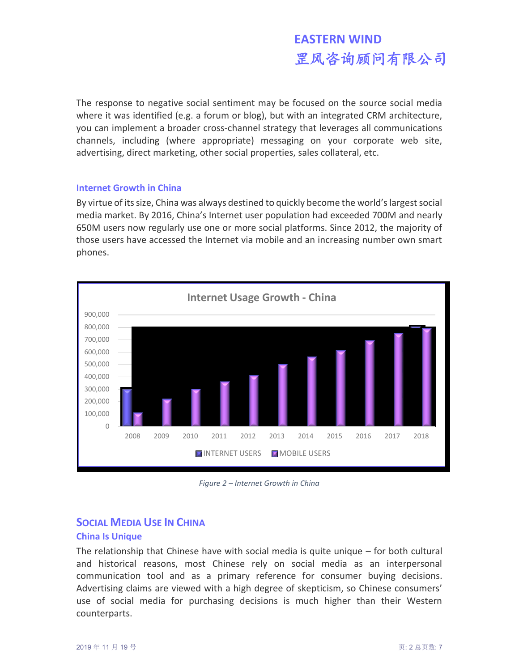The response to negative social sentiment may be focused on the source social media where it was identified (e.g. a forum or blog), but with an integrated CRM architecture, you can implement a broader cross-channel strategy that leverages all communications channels, including (where appropriate) messaging on your corporate web site, advertising, direct marketing, other social properties, sales collateral, etc.

#### **Internet Growth in China**

By virtue of its size, China was always destined to quickly become the world's largest social media market. By 2016, China's Internet user population had exceeded 700M and nearly 650M users now regularly use one or more social platforms. Since 2012, the majority of those users have accessed the Internet via mobile and an increasing number own smart phones.



*Figure 2 – Internet Growth in China*

# **SOCIAL MEDIA USE IN CHINA China Is Unique**

The relationship that Chinese have with social media is quite unique – for both cultural and historical reasons, most Chinese rely on social media as an interpersonal communication tool and as a primary reference for consumer buying decisions. Advertising claims are viewed with a high degree of skepticism, so Chinese consumers' use of social media for purchasing decisions is much higher than their Western counterparts.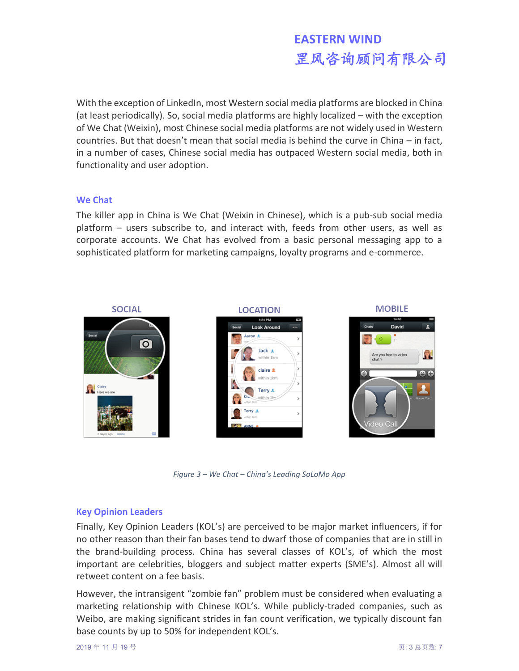With the exception of LinkedIn, most Western social media platforms are blocked in China (at least periodically). So, social media platforms are highly localized – with the exception of We Chat (Weixin), most Chinese social media platforms are not widely used in Western countries. But that doesn't mean that social media is behind the curve in China – in fact, in a number of cases, Chinese social media has outpaced Western social media, both in functionality and user adoption.

#### **We Chat**

The killer app in China is We Chat (Weixin in Chinese), which is a pub-sub social media platform – users subscribe to, and interact with, feeds from other users, as well as corporate accounts. We Chat has evolved from a basic personal messaging app to a sophisticated platform for marketing campaigns, loyalty programs and e-commerce.



*Figure 3 – We Chat – China's Leading SoLoMo App*

#### **Key Opinion Leaders**

Finally, Key Opinion Leaders (KOL's) are perceived to be major market influencers, if for no other reason than their fan bases tend to dwarf those of companies that are in still in the brand-building process. China has several classes of KOL's, of which the most important are celebrities, bloggers and subject matter experts (SME's). Almost all will retweet content on a fee basis.

However, the intransigent "zombie fan" problem must be considered when evaluating a marketing relationship with Chinese KOL's. While publicly-traded companies, such as Weibo, are making significant strides in fan count verification, we typically discount fan base counts by up to 50% for independent KOL's.

2019 年 11 月 19 号 页: 3 总页数: 7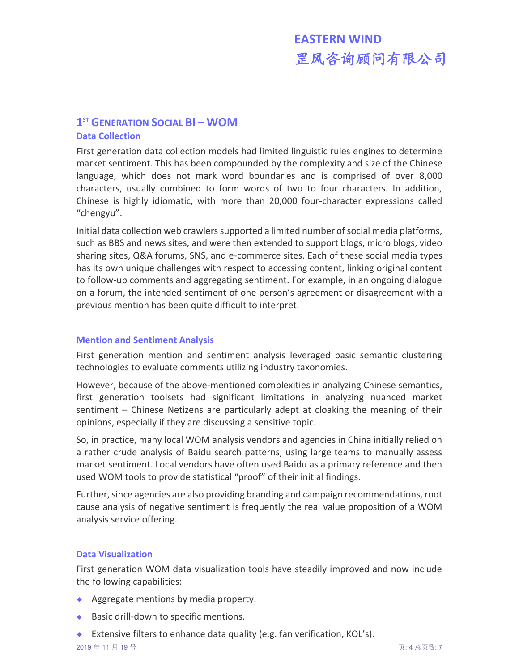# **1 ST GENERATION SOCIAL BI – WOM**

#### **Data Collection**

First generation data collection models had limited linguistic rules engines to determine market sentiment. This has been compounded by the complexity and size of the Chinese language, which does not mark word boundaries and is comprised of over 8,000 characters, usually combined to form words of two to four characters. In addition, Chinese is highly idiomatic, with more than 20,000 four-character expressions called "chengyu".

Initial data collection web crawlers supported a limited number of social media platforms, such as BBS and news sites, and were then extended to support blogs, micro blogs, video sharing sites, Q&A forums, SNS, and e-commerce sites. Each of these social media types has its own unique challenges with respect to accessing content, linking original content to follow-up comments and aggregating sentiment. For example, in an ongoing dialogue on a forum, the intended sentiment of one person's agreement or disagreement with a previous mention has been quite difficult to interpret.

#### **Mention and Sentiment Analysis**

First generation mention and sentiment analysis leveraged basic semantic clustering technologies to evaluate comments utilizing industry taxonomies.

However, because of the above-mentioned complexities in analyzing Chinese semantics, first generation toolsets had significant limitations in analyzing nuanced market sentiment – Chinese Netizens are particularly adept at cloaking the meaning of their opinions, especially if they are discussing a sensitive topic.

So, in practice, many local WOM analysis vendors and agencies in China initially relied on a rather crude analysis of Baidu search patterns, using large teams to manually assess market sentiment. Local vendors have often used Baidu as a primary reference and then used WOM tools to provide statistical "proof" of their initial findings.

Further, since agencies are also providing branding and campaign recommendations, root cause analysis of negative sentiment is frequently the real value proposition of a WOM analysis service offering.

### **Data Visualization**

First generation WOM data visualization tools have steadily improved and now include the following capabilities:

- Aggregate mentions by media property.
- ◆ Basic drill-down to specific mentions.
- ◆ Extensive filters to enhance data quality (e.g. fan verification, KOL's).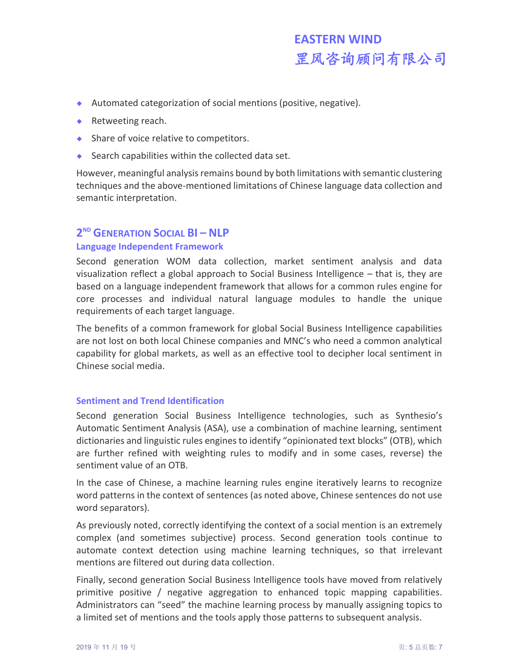- Automated categorization of social mentions (positive, negative).
- ◆ Retweeting reach.
- ◆ Share of voice relative to competitors.
- $\bullet$  Search capabilities within the collected data set.

However, meaningful analysis remains bound by both limitations with semantic clustering techniques and the above-mentioned limitations of Chinese language data collection and semantic interpretation.

# **2 ND GENERATION SOCIAL BI – NLP**

## **Language Independent Framework**

Second generation WOM data collection, market sentiment analysis and data visualization reflect a global approach to Social Business Intelligence – that is, they are based on a language independent framework that allows for a common rules engine for core processes and individual natural language modules to handle the unique requirements of each target language.

The benefits of a common framework for global Social Business Intelligence capabilities are not lost on both local Chinese companies and MNC's who need a common analytical capability for global markets, as well as an effective tool to decipher local sentiment in Chinese social media.

### **Sentiment and Trend Identification**

Second generation Social Business Intelligence technologies, such as Synthesio's Automatic Sentiment Analysis (ASA), use a combination of machine learning, sentiment dictionaries and linguistic rules engines to identify "opinionated text blocks" (OTB), which are further refined with weighting rules to modify and in some cases, reverse) the sentiment value of an OTB.

In the case of Chinese, a machine learning rules engine iteratively learns to recognize word patterns in the context of sentences (as noted above, Chinese sentences do not use word separators).

As previously noted, correctly identifying the context of a social mention is an extremely complex (and sometimes subjective) process. Second generation tools continue to automate context detection using machine learning techniques, so that irrelevant mentions are filtered out during data collection.

Finally, second generation Social Business Intelligence tools have moved from relatively primitive positive / negative aggregation to enhanced topic mapping capabilities. Administrators can "seed" the machine learning process by manually assigning topics to a limited set of mentions and the tools apply those patterns to subsequent analysis.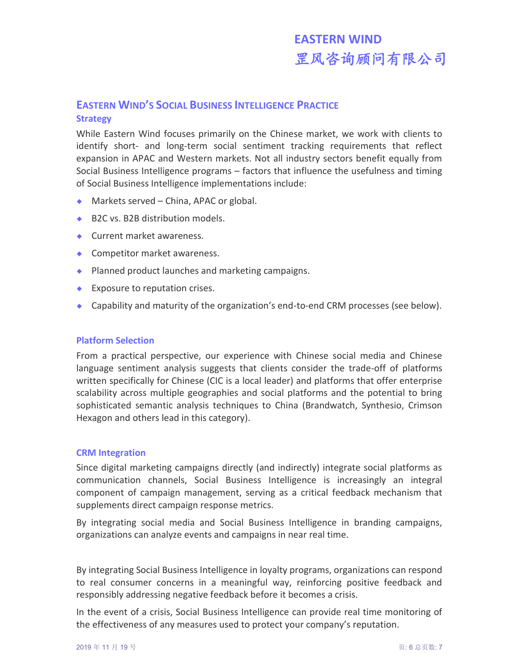# **EASTERN WIND'S SOCIAL BUSINESS INTELLIGENCE PRACTICE**

#### **Strategy**

While Eastern Wind focuses primarily on the Chinese market, we work with clients to identify short- and long-term social sentiment tracking requirements that reflect expansion in APAC and Western markets. Not all industry sectors benefit equally from Social Business Intelligence programs – factors that influence the usefulness and timing of Social Business Intelligence implementations include:

- ◆ Markets served China, APAC or global.
- ◆ B2C vs. B2B distribution models.
- ◆ Current market awareness.
- ◆ Competitor market awareness.
- ◆ Planned product launches and marketing campaigns.
- ◆ Exposure to reputation crises.
- Capability and maturity of the organization's end-to-end CRM processes (see below).

#### **Platform Selection**

From a practical perspective, our experience with Chinese social media and Chinese language sentiment analysis suggests that clients consider the trade-off of platforms written specifically for Chinese (CIC is a local leader) and platforms that offer enterprise scalability across multiple geographies and social platforms and the potential to bring sophisticated semantic analysis techniques to China (Brandwatch, Synthesio, Crimson Hexagon and others lead in this category).

#### **CRM Integration**

Since digital marketing campaigns directly (and indirectly) integrate social platforms as communication channels, Social Business Intelligence is increasingly an integral component of campaign management, serving as a critical feedback mechanism that supplements direct campaign response metrics.

By integrating social media and Social Business Intelligence in branding campaigns, organizations can analyze events and campaigns in near real time.

By integrating Social Business Intelligence in loyalty programs, organizations can respond to real consumer concerns in a meaningful way, reinforcing positive feedback and responsibly addressing negative feedback before it becomes a crisis.

In the event of a crisis, Social Business Intelligence can provide real time monitoring of the effectiveness of any measures used to protect your company's reputation.